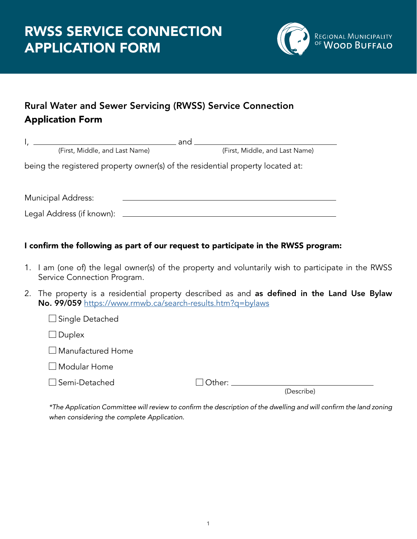Service Connection Program.



## Rural Water and Sewer Servicing (RWSS) Service Connection Application Form

| (First, Middle, and Last Name)                                                     |  | (First, Middle, and Last Name) |  |  |  |
|------------------------------------------------------------------------------------|--|--------------------------------|--|--|--|
| being the registered property owner(s) of the residential property located at:     |  |                                |  |  |  |
| <b>Municipal Address:</b>                                                          |  |                                |  |  |  |
| I confirm the following as part of our request to participate in the RWSS program: |  |                                |  |  |  |

- 1. I am (one of) the legal owner(s) of the property and voluntarily wish to participate in the RWSS
- 2. The property is a residential property described as and as defined in the Land Use Bylaw No. 99/059 <https://www.rmwb.ca/search-results.htm?q=bylaws>

| <u>110. 777007 https://www.iniwb.ca/scalch-icsuits.html:q-bylaws</u> |                          |        |            |
|----------------------------------------------------------------------|--------------------------|--------|------------|
|                                                                      | $\Box$ Single Detached   |        |            |
|                                                                      | $\Box$ Duplex            |        |            |
|                                                                      | $\Box$ Manufactured Home |        |            |
|                                                                      | $\Box$ Modular Home      |        |            |
|                                                                      | $\square$ Semi-Detached  | Other: |            |
|                                                                      |                          |        | (Describe) |
|                                                                      |                          |        |            |

 \*The Application Committee will review to confirm the description of the dwelling and will confirm the land zoning when considering the complete Application.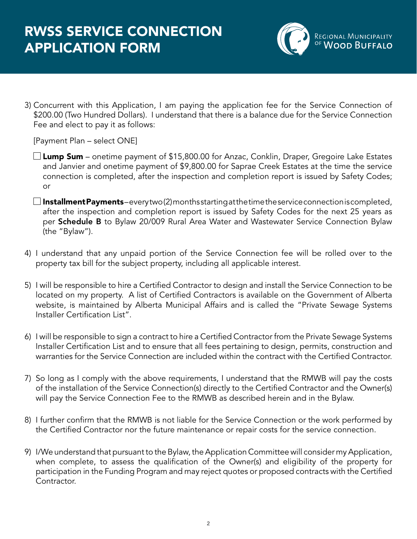

3) Concurrent with this Application, I am paying the application fee for the Service Connection of \$200.00 (Two Hundred Dollars). I understand that there is a balance due for the Service Connection Fee and elect to pay it as follows:

[Payment Plan – select ONE]

- $\Box$  Lump Sum onetime payment of \$15,800.00 for Anzac, Conklin, Draper, Gregoire Lake Estates and Janvier and onetime payment of \$9,800.00 for Saprae Creek Estates at the time the service connection is completed, after the inspection and completion report is issued by Safety Codes; or
- $\square$  Installment Payments-every two (2) months starting at the time the service connection is completed, after the inspection and completion report is issued by Safety Codes for the next 25 years as per Schedule B to Bylaw 20/009 Rural Area Water and Wastewater Service Connection Bylaw (the "Bylaw").
- 4) I understand that any unpaid portion of the Service Connection fee will be rolled over to the property tax bill for the subject property, including all applicable interest.
- 5) I will be responsible to hire a Certified Contractor to design and install the Service Connection to be located on my property. A list of Certified Contractors is available on the Government of Alberta website, is maintained by Alberta Municipal Affairs and is called the "Private Sewage Systems Installer Certification List".
- 6) I will be responsible to sign a contract to hire a Certified Contractor from the Private Sewage Systems Installer Certification List and to ensure that all fees pertaining to design, permits, construction and warranties for the Service Connection are included within the contract with the Certified Contractor.
- 7) So long as I comply with the above requirements, I understand that the RMWB will pay the costs of the installation of the Service Connection(s) directly to the Certified Contractor and the Owner(s) will pay the Service Connection Fee to the RMWB as described herein and in the Bylaw.
- 8) I further confirm that the RMWB is not liable for the Service Connection or the work performed by the Certified Contractor nor the future maintenance or repair costs for the service connection.
- 9) I/We understand that pursuant to the Bylaw, the Application Committee will consider my Application, when complete, to assess the qualification of the Owner(s) and eligibility of the property for participation in the Funding Program and may reject quotes or proposed contracts with the Certified Contractor.